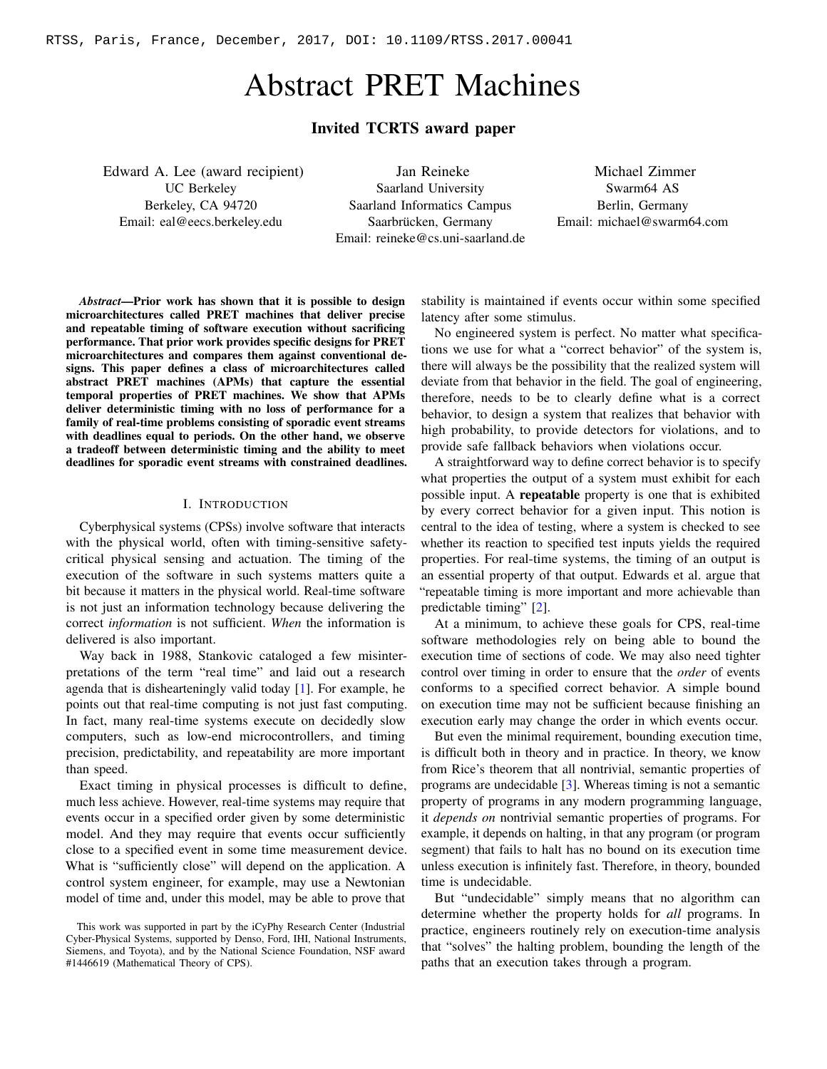# Abstract PRET Machines

## Invited TCRTS award paper

Edward A. Lee (award recipient) UC Berkeley Berkeley, CA 94720 Email: eal@eecs.berkeley.edu

Jan Reineke Saarland University Saarland Informatics Campus Saarbrücken, Germany Email: reineke@cs.uni-saarland.de

Michael Zimmer Swarm64 AS Berlin, Germany Email: michael@swarm64.com

*Abstract*—Prior work has shown that it is possible to design microarchitectures called PRET machines that deliver precise and repeatable timing of software execution without sacrificing performance. That prior work provides specific designs for PRET microarchitectures and compares them against conventional designs. This paper defines a class of microarchitectures called abstract PRET machines (APMs) that capture the essential temporal properties of PRET machines. We show that APMs deliver deterministic timing with no loss of performance for a family of real-time problems consisting of sporadic event streams with deadlines equal to periods. On the other hand, we observe a tradeoff between deterministic timing and the ability to meet deadlines for sporadic event streams with constrained deadlines.

#### I. INTRODUCTION

Cyberphysical systems (CPSs) involve software that interacts with the physical world, often with timing-sensitive safetycritical physical sensing and actuation. The timing of the execution of the software in such systems matters quite a bit because it matters in the physical world. Real-time software is not just an information technology because delivering the correct *information* is not sufficient. *When* the information is delivered is also important.

Way back in 1988, Stankovic cataloged a few misinterpretations of the term "real time" and laid out a research agenda that is dishearteningly valid today [1]. For example, he points out that real-time computing is not just fast computing. In fact, many real-time systems execute on decidedly slow computers, such as low-end microcontrollers, and timing precision, predictability, and repeatability are more important than speed.

Exact timing in physical processes is difficult to define, much less achieve. However, real-time systems may require that events occur in a specified order given by some deterministic model. And they may require that events occur sufficiently close to a specified event in some time measurement device. What is "sufficiently close" will depend on the application. A control system engineer, for example, may use a Newtonian model of time and, under this model, may be able to prove that

stability is maintained if events occur within some specified latency after some stimulus.

No engineered system is perfect. No matter what specifications we use for what a "correct behavior" of the system is, there will always be the possibility that the realized system will deviate from that behavior in the field. The goal of engineering, therefore, needs to be to clearly define what is a correct behavior, to design a system that realizes that behavior with high probability, to provide detectors for violations, and to provide safe fallback behaviors when violations occur.

A straightforward way to define correct behavior is to specify what properties the output of a system must exhibit for each possible input. A repeatable property is one that is exhibited by every correct behavior for a given input. This notion is central to the idea of testing, where a system is checked to see whether its reaction to specified test inputs yields the required properties. For real-time systems, the timing of an output is an essential property of that output. Edwards et al. argue that "repeatable timing is more important and more achievable than predictable timing" [2].

At a minimum, to achieve these goals for CPS, real-time software methodologies rely on being able to bound the execution time of sections of code. We may also need tighter control over timing in order to ensure that the *order* of events conforms to a specified correct behavior. A simple bound on execution time may not be sufficient because finishing an execution early may change the order in which events occur.

But even the minimal requirement, bounding execution time, is difficult both in theory and in practice. In theory, we know from Rice's theorem that all nontrivial, semantic properties of programs are undecidable [3]. Whereas timing is not a semantic property of programs in any modern programming language, it *depends on* nontrivial semantic properties of programs. For example, it depends on halting, in that any program (or program segment) that fails to halt has no bound on its execution time unless execution is infinitely fast. Therefore, in theory, bounded time is undecidable.

But "undecidable" simply means that no algorithm can determine whether the property holds for *all* programs. In practice, engineers routinely rely on execution-time analysis that "solves" the halting problem, bounding the length of the paths that an execution takes through a program.

This work was supported in part by the iCyPhy Research Center (Industrial Cyber-Physical Systems, supported by Denso, Ford, IHI, National Instruments, Siemens, and Toyota), and by the National Science Foundation, NSF award #1446619 (Mathematical Theory of CPS).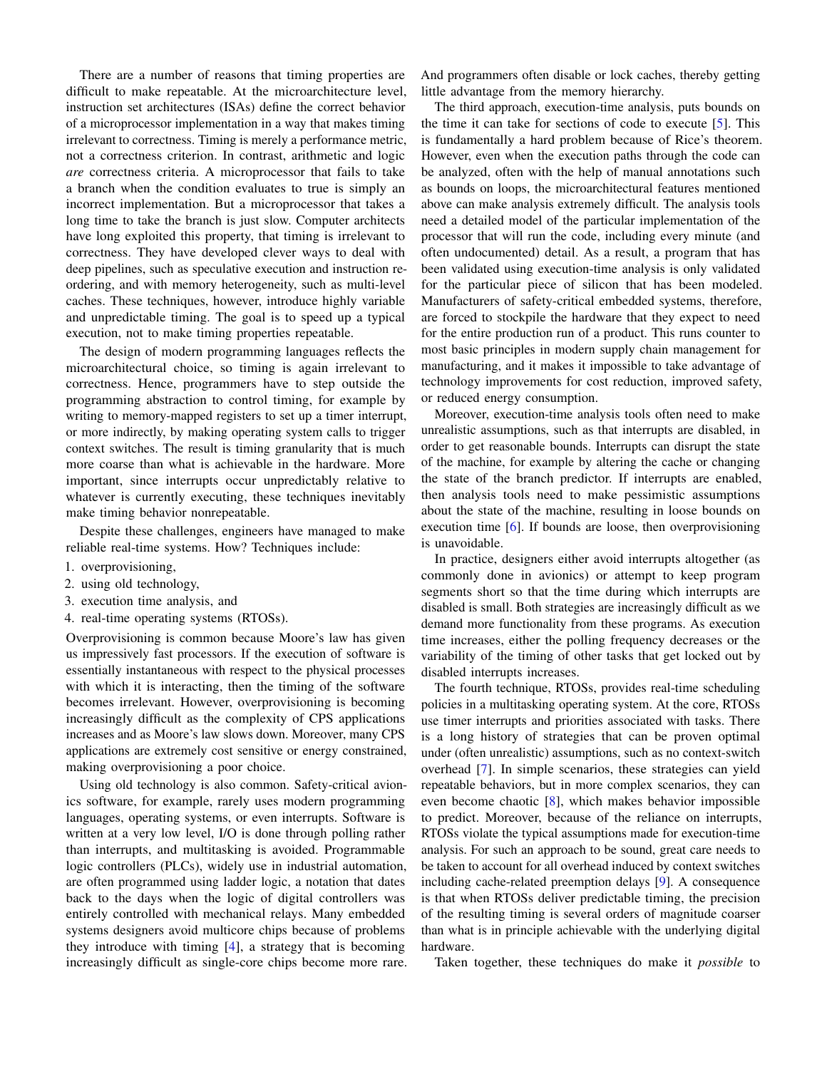There are a number of reasons that timing properties are difficult to make repeatable. At the microarchitecture level, instruction set architectures (ISAs) define the correct behavior of a microprocessor implementation in a way that makes timing irrelevant to correctness. Timing is merely a performance metric, not a correctness criterion. In contrast, arithmetic and logic *are* correctness criteria. A microprocessor that fails to take a branch when the condition evaluates to true is simply an incorrect implementation. But a microprocessor that takes a long time to take the branch is just slow. Computer architects have long exploited this property, that timing is irrelevant to correctness. They have developed clever ways to deal with deep pipelines, such as speculative execution and instruction reordering, and with memory heterogeneity, such as multi-level caches. These techniques, however, introduce highly variable and unpredictable timing. The goal is to speed up a typical execution, not to make timing properties repeatable.

The design of modern programming languages reflects the microarchitectural choice, so timing is again irrelevant to correctness. Hence, programmers have to step outside the programming abstraction to control timing, for example by writing to memory-mapped registers to set up a timer interrupt, or more indirectly, by making operating system calls to trigger context switches. The result is timing granularity that is much more coarse than what is achievable in the hardware. More important, since interrupts occur unpredictably relative to whatever is currently executing, these techniques inevitably make timing behavior nonrepeatable.

Despite these challenges, engineers have managed to make reliable real-time systems. How? Techniques include:

- 1. overprovisioning,
- 2. using old technology,
- 3. execution time analysis, and
- 4. real-time operating systems (RTOSs).

Overprovisioning is common because Moore's law has given us impressively fast processors. If the execution of software is essentially instantaneous with respect to the physical processes with which it is interacting, then the timing of the software becomes irrelevant. However, overprovisioning is becoming increasingly difficult as the complexity of CPS applications increases and as Moore's law slows down. Moreover, many CPS applications are extremely cost sensitive or energy constrained, making overprovisioning a poor choice.

Using old technology is also common. Safety-critical avionics software, for example, rarely uses modern programming languages, operating systems, or even interrupts. Software is written at a very low level, I/O is done through polling rather than interrupts, and multitasking is avoided. Programmable logic controllers (PLCs), widely use in industrial automation, are often programmed using ladder logic, a notation that dates back to the days when the logic of digital controllers was entirely controlled with mechanical relays. Many embedded systems designers avoid multicore chips because of problems they introduce with timing [4], a strategy that is becoming increasingly difficult as single-core chips become more rare.

And programmers often disable or lock caches, thereby getting little advantage from the memory hierarchy.

The third approach, execution-time analysis, puts bounds on the time it can take for sections of code to execute [5]. This is fundamentally a hard problem because of Rice's theorem. However, even when the execution paths through the code can be analyzed, often with the help of manual annotations such as bounds on loops, the microarchitectural features mentioned above can make analysis extremely difficult. The analysis tools need a detailed model of the particular implementation of the processor that will run the code, including every minute (and often undocumented) detail. As a result, a program that has been validated using execution-time analysis is only validated for the particular piece of silicon that has been modeled. Manufacturers of safety-critical embedded systems, therefore, are forced to stockpile the hardware that they expect to need for the entire production run of a product. This runs counter to most basic principles in modern supply chain management for manufacturing, and it makes it impossible to take advantage of technology improvements for cost reduction, improved safety, or reduced energy consumption.

Moreover, execution-time analysis tools often need to make unrealistic assumptions, such as that interrupts are disabled, in order to get reasonable bounds. Interrupts can disrupt the state of the machine, for example by altering the cache or changing the state of the branch predictor. If interrupts are enabled, then analysis tools need to make pessimistic assumptions about the state of the machine, resulting in loose bounds on execution time [6]. If bounds are loose, then overprovisioning is unavoidable.

In practice, designers either avoid interrupts altogether (as commonly done in avionics) or attempt to keep program segments short so that the time during which interrupts are disabled is small. Both strategies are increasingly difficult as we demand more functionality from these programs. As execution time increases, either the polling frequency decreases or the variability of the timing of other tasks that get locked out by disabled interrupts increases.

The fourth technique, RTOSs, provides real-time scheduling policies in a multitasking operating system. At the core, RTOSs use timer interrupts and priorities associated with tasks. There is a long history of strategies that can be proven optimal under (often unrealistic) assumptions, such as no context-switch overhead [7]. In simple scenarios, these strategies can yield repeatable behaviors, but in more complex scenarios, they can even become chaotic [8], which makes behavior impossible to predict. Moreover, because of the reliance on interrupts, RTOSs violate the typical assumptions made for execution-time analysis. For such an approach to be sound, great care needs to be taken to account for all overhead induced by context switches including cache-related preemption delays [9]. A consequence is that when RTOSs deliver predictable timing, the precision of the resulting timing is several orders of magnitude coarser than what is in principle achievable with the underlying digital hardware.

Taken together, these techniques do make it *possible* to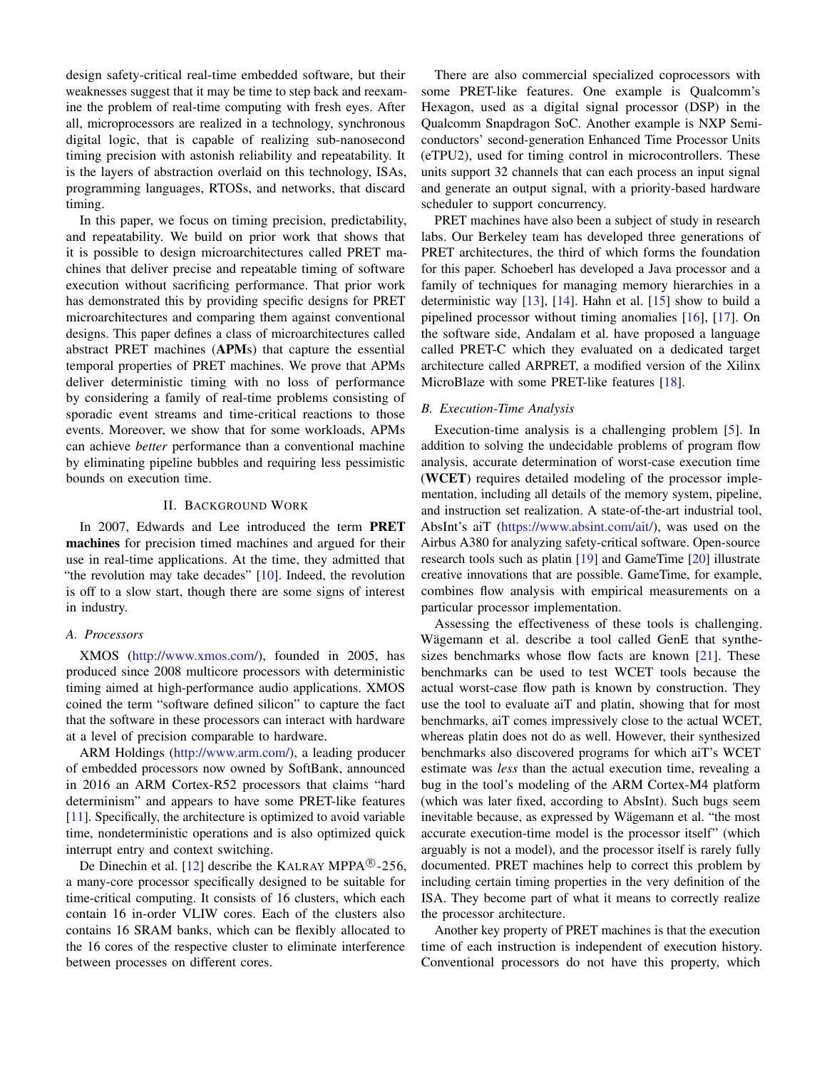design safety-critical real-time embedded software, but their weaknesses suggest that it may be time to step back and reexamine the problem of real-time computing with fresh eyes. After all, microprocessors are realized in a technology, synchronous digital logic, that is capable of realizing sub-nanosecond timing precision with astonish reliability and repeatability. It is the layers of abstraction overlaid on this technology, ISAs, programming languages, RTOSs, and networks, that discard timing.

In this paper, we focus on timing precision, predictability, and repeatability. We build on prior work that shows that it is possible to design microarchitectures called PRET machines that deliver precise and repeatable timing of software execution without sacrificing performance. That prior work has demonstrated this by providing specific designs for PRET microarchitectures and comparing them against conventional designs. This paper defines a class of microarchitectures called abstract PRET machines (APMs) that capture the essential temporal properties of PRET machines. We prove that APMs deliver deterministic timing with no loss of performance by considering a family of real-time problems consisting of sporadic event streams and time-critical reactions to those events. Moreover, we show that for some workloads, APMs can achieve *better* performance than a conventional machine by eliminating pipeline bubbles and requiring less pessimistic bounds on execution time.

### II. BACKGROUND WORK

In 2007, Edwards and Lee introduced the term PRET machines for precision timed machines and argued for their use in real-time applications. At the time, they admitted that "the revolution may take decades" [10]. Indeed, the revolution is off to a slow start, though there are some signs of interest in industry.

#### *A. Processors*

XMOS (http://www.xmos.com/), founded in 2005, has produced since 2008 multicore processors with deterministic timing aimed at high-performance audio applications. XMOS coined the term "software defined silicon" to capture the fact that the software in these processors can interact with hardware at a level of precision comparable to hardware.

ARM Holdings (http://www.arm.com/), a leading producer of embedded processors now owned by SoftBank, announced in 2016 an ARM Cortex-R52 processors that claims "hard determinism" and appears to have some PRET-like features [11]. Specifically, the architecture is optimized to avoid variable time, nondeterministic operations and is also optimized quick interrupt entry and context switching.

De Dinechin et al. [12] describe the KALRAY MPPA $\circ$ -256, a many-core processor specifically designed to be suitable for time-critical computing. It consists of 16 clusters, which each contain 16 in-order VLIW cores. Each of the clusters also contains 16 SRAM banks, which can be flexibly allocated to the 16 cores of the respective cluster to eliminate interference between processes on different cores.

There are also commercial specialized coprocessors with some PRET-like features. One example is Qualcomm's Hexagon, used as a digital signal processor (DSP) in the Qualcomm Snapdragon SoC. Another example is NXP Semiconductors' second-generation Enhanced Time Processor Units (eTPU2), used for timing control in microcontrollers. These units support 32 channels that can each process an input signal and generate an output signal, with a priority-based hardware scheduler to support concurrency.

PRET machines have also been a subject of study in research labs. Our Berkeley team has developed three generations of PRET architectures, the third of which forms the foundation for this paper. Schoeberl has developed a Java processor and a family of techniques for managing memory hierarchies in a deterministic way  $[13]$ ,  $[14]$ . Hahn et al.  $[15]$  show to build a pipelined processor without timing anomalies [16], [17]. On the software side, Andalam et al. have proposed a language called PRET-C which they evaluated on a dedicated target architecture called ARPRET, a modified version of the Xilinx MicroBlaze with some PRET-like features [18].

#### *B. Execution-Time Analysis*

Execution-time analysis is a challenging problem [5]. In addition to solving the undecidable problems of program flow analysis, accurate determination of worst-case execution time (WCET) requires detailed modeling of the processor implementation, including all details of the memory system, pipeline, and instruction set realization. A state-of-the-art industrial tool, AbsInt's aiT (https://www.absint.com/ait/), was used on the Airbus A380 for analyzing safety-critical software. Open-source research tools such as platin [19] and GameTime [20] illustrate creative innovations that are possible. GameTime, for example, combines flow analysis with empirical measurements on a particular processor implementation.

Assessing the effectiveness of these tools is challenging. Wägemann et al. describe a tool called GenE that synthesizes benchmarks whose flow facts are known [21]. These benchmarks can be used to test WCET tools because the actual worst-case flow path is known by construction. They use the tool to evaluate aiT and platin, showing that for most benchmarks, aiT comes impressively close to the actual WCET, whereas platin does not do as well. However, their synthesized benchmarks also discovered programs for which aiT's WCET estimate was *less* than the actual execution time, revealing a bug in the tool's modeling of the ARM Cortex-M4 platform (which was later fixed, according to AbsInt). Such bugs seem inevitable because, as expressed by Wägemann et al. "the most accurate execution-time model is the processor itself" (which arguably is not a model), and the processor itself is rarely fully documented. PRET machines help to correct this problem by including certain timing properties in the very definition of the ISA. They become part of what it means to correctly realize the processor architecture.

Another key property of PRET machines is that the execution time of each instruction is independent of execution history. Conventional processors do not have this property, which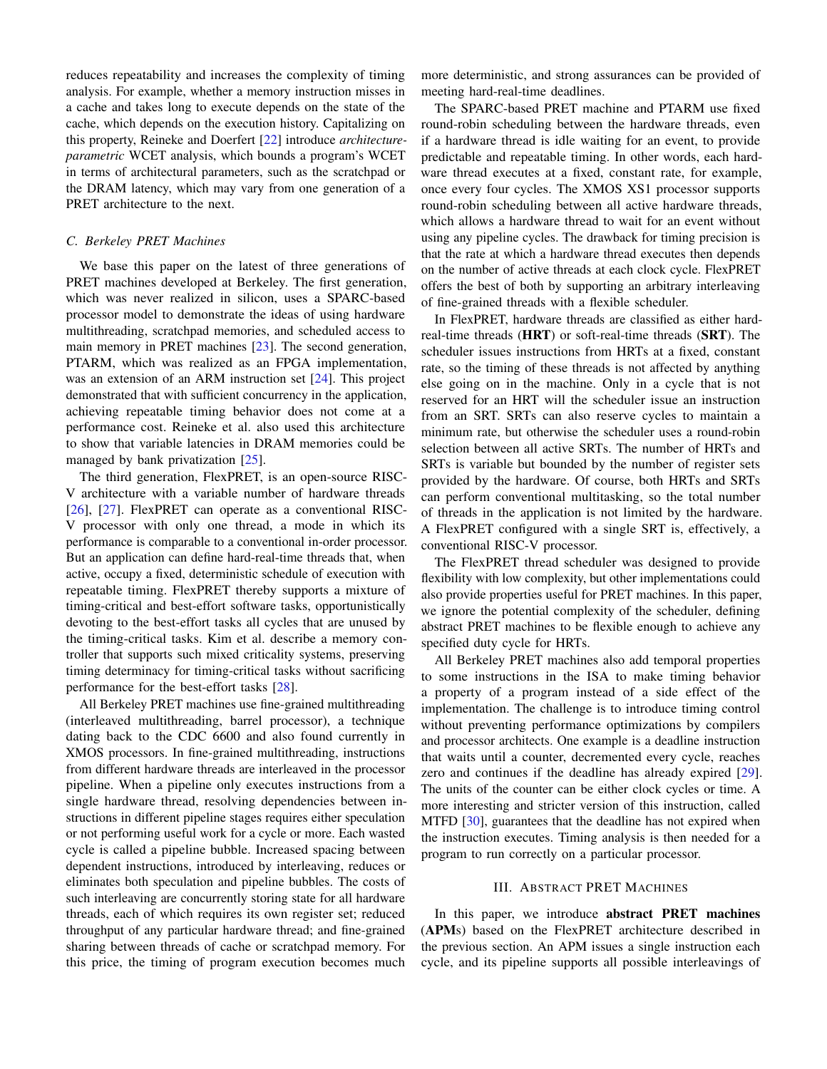reduces repeatability and increases the complexity of timing analysis. For example, whether a memory instruction misses in a cache and takes long to execute depends on the state of the cache, which depends on the execution history. Capitalizing on this property, Reineke and Doerfert [22] introduce *architectureparametric* WCET analysis, which bounds a program's WCET in terms of architectural parameters, such as the scratchpad or the DRAM latency, which may vary from one generation of a PRET architecture to the next.

#### *C. Berkeley PRET Machines*

We base this paper on the latest of three generations of PRET machines developed at Berkeley. The first generation, which was never realized in silicon, uses a SPARC-based processor model to demonstrate the ideas of using hardware multithreading, scratchpad memories, and scheduled access to main memory in PRET machines [23]. The second generation, PTARM, which was realized as an FPGA implementation, was an extension of an ARM instruction set [24]. This project demonstrated that with sufficient concurrency in the application, achieving repeatable timing behavior does not come at a performance cost. Reineke et al. also used this architecture to show that variable latencies in DRAM memories could be managed by bank privatization [25].

The third generation, FlexPRET, is an open-source RISC-V architecture with a variable number of hardware threads [26], [27]. FlexPRET can operate as a conventional RISC-V processor with only one thread, a mode in which its performance is comparable to a conventional in-order processor. But an application can define hard-real-time threads that, when active, occupy a fixed, deterministic schedule of execution with repeatable timing. FlexPRET thereby supports a mixture of timing-critical and best-effort software tasks, opportunistically devoting to the best-effort tasks all cycles that are unused by the timing-critical tasks. Kim et al. describe a memory controller that supports such mixed criticality systems, preserving timing determinacy for timing-critical tasks without sacrificing performance for the best-effort tasks [28].

All Berkeley PRET machines use fine-grained multithreading (interleaved multithreading, barrel processor), a technique dating back to the CDC 6600 and also found currently in XMOS processors. In fine-grained multithreading, instructions from different hardware threads are interleaved in the processor pipeline. When a pipeline only executes instructions from a single hardware thread, resolving dependencies between instructions in different pipeline stages requires either speculation or not performing useful work for a cycle or more. Each wasted cycle is called a pipeline bubble. Increased spacing between dependent instructions, introduced by interleaving, reduces or eliminates both speculation and pipeline bubbles. The costs of such interleaving are concurrently storing state for all hardware threads, each of which requires its own register set; reduced throughput of any particular hardware thread; and fine-grained sharing between threads of cache or scratchpad memory. For this price, the timing of program execution becomes much

more deterministic, and strong assurances can be provided of meeting hard-real-time deadlines.

The SPARC-based PRET machine and PTARM use fixed round-robin scheduling between the hardware threads, even if a hardware thread is idle waiting for an event, to provide predictable and repeatable timing. In other words, each hardware thread executes at a fixed, constant rate, for example, once every four cycles. The XMOS XS1 processor supports round-robin scheduling between all active hardware threads, which allows a hardware thread to wait for an event without using any pipeline cycles. The drawback for timing precision is that the rate at which a hardware thread executes then depends on the number of active threads at each clock cycle. FlexPRET offers the best of both by supporting an arbitrary interleaving of fine-grained threads with a flexible scheduler.

In FlexPRET, hardware threads are classified as either hardreal-time threads (HRT) or soft-real-time threads (SRT). The scheduler issues instructions from HRTs at a fixed, constant rate, so the timing of these threads is not affected by anything else going on in the machine. Only in a cycle that is not reserved for an HRT will the scheduler issue an instruction from an SRT. SRTs can also reserve cycles to maintain a minimum rate, but otherwise the scheduler uses a round-robin selection between all active SRTs. The number of HRTs and SRTs is variable but bounded by the number of register sets provided by the hardware. Of course, both HRTs and SRTs can perform conventional multitasking, so the total number of threads in the application is not limited by the hardware. A FlexPRET configured with a single SRT is, effectively, a conventional RISC-V processor.

The FlexPRET thread scheduler was designed to provide flexibility with low complexity, but other implementations could also provide properties useful for PRET machines. In this paper, we ignore the potential complexity of the scheduler, defining abstract PRET machines to be flexible enough to achieve any specified duty cycle for HRTs.

All Berkeley PRET machines also add temporal properties to some instructions in the ISA to make timing behavior a property of a program instead of a side effect of the implementation. The challenge is to introduce timing control without preventing performance optimizations by compilers and processor architects. One example is a deadline instruction that waits until a counter, decremented every cycle, reaches zero and continues if the deadline has already expired [29]. The units of the counter can be either clock cycles or time. A more interesting and stricter version of this instruction, called MTFD [30], guarantees that the deadline has not expired when the instruction executes. Timing analysis is then needed for a program to run correctly on a particular processor.

#### III. ABSTRACT PRET MACHINES

In this paper, we introduce abstract PRET machines (APMs) based on the FlexPRET architecture described in the previous section. An APM issues a single instruction each cycle, and its pipeline supports all possible interleavings of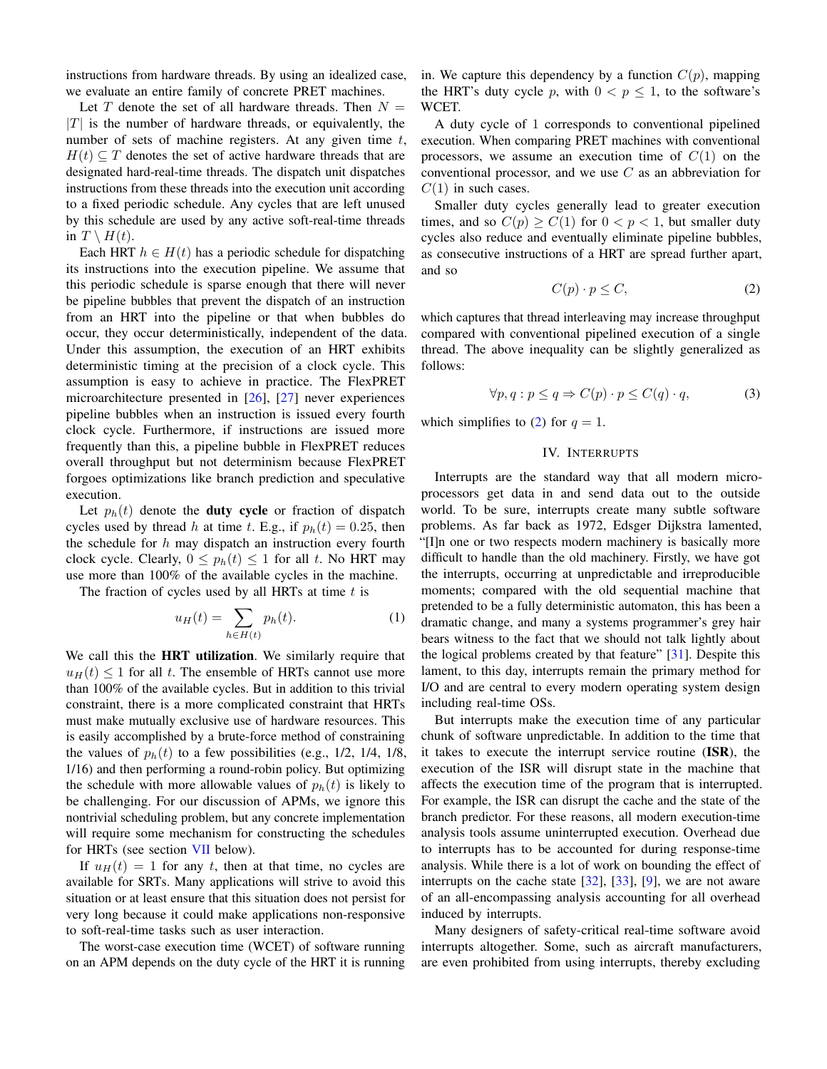instructions from hardware threads. By using an idealized case, we evaluate an entire family of concrete PRET machines.

Let T denote the set of all hardware threads. Then  $N =$  $|T|$  is the number of hardware threads, or equivalently, the number of sets of machine registers. At any given time  $t$ ,  $H(t) \subseteq T$  denotes the set of active hardware threads that are designated hard-real-time threads. The dispatch unit dispatches instructions from these threads into the execution unit according to a fixed periodic schedule. Any cycles that are left unused by this schedule are used by any active soft-real-time threads in  $T \setminus H(t)$ .

Each HRT  $h \in H(t)$  has a periodic schedule for dispatching its instructions into the execution pipeline. We assume that this periodic schedule is sparse enough that there will never be pipeline bubbles that prevent the dispatch of an instruction from an HRT into the pipeline or that when bubbles do occur, they occur deterministically, independent of the data. Under this assumption, the execution of an HRT exhibits deterministic timing at the precision of a clock cycle. This assumption is easy to achieve in practice. The FlexPRET microarchitecture presented in [26], [27] never experiences pipeline bubbles when an instruction is issued every fourth clock cycle. Furthermore, if instructions are issued more frequently than this, a pipeline bubble in FlexPRET reduces overall throughput but not determinism because FlexPRET forgoes optimizations like branch prediction and speculative execution.

Let  $p_h(t)$  denote the **duty cycle** or fraction of dispatch cycles used by thread h at time t. E.g., if  $p_h(t) = 0.25$ , then the schedule for  $h$  may dispatch an instruction every fourth clock cycle. Clearly,  $0 \leq p_h(t) \leq 1$  for all t. No HRT may use more than 100% of the available cycles in the machine.

The fraction of cycles used by all HRTs at time  $t$  is

$$
u_H(t) = \sum_{h \in H(t)} p_h(t). \tag{1}
$$

We call this the **HRT utilization**. We similarly require that  $u_H(t) \leq 1$  for all t. The ensemble of HRTs cannot use more than 100% of the available cycles. But in addition to this trivial constraint, there is a more complicated constraint that HRTs must make mutually exclusive use of hardware resources. This is easily accomplished by a brute-force method of constraining the values of  $p_h(t)$  to a few possibilities (e.g., 1/2, 1/4, 1/8, 1/16) and then performing a round-robin policy. But optimizing the schedule with more allowable values of  $p_h(t)$  is likely to be challenging. For our discussion of APMs, we ignore this nontrivial scheduling problem, but any concrete implementation will require some mechanism for constructing the schedules for HRTs (see section VII below).

If  $u_H(t) = 1$  for any t, then at that time, no cycles are available for SRTs. Many applications will strive to avoid this situation or at least ensure that this situation does not persist for very long because it could make applications non-responsive to soft-real-time tasks such as user interaction.

The worst-case execution time (WCET) of software running on an APM depends on the duty cycle of the HRT it is running in. We capture this dependency by a function  $C(p)$ , mapping the HRT's duty cycle p, with  $0 < p \le 1$ , to the software's WCET.

A duty cycle of 1 corresponds to conventional pipelined execution. When comparing PRET machines with conventional processors, we assume an execution time of  $C(1)$  on the conventional processor, and we use  $C$  as an abbreviation for  $C(1)$  in such cases.

Smaller duty cycles generally lead to greater execution times, and so  $C(p) \ge C(1)$  for  $0 < p < 1$ , but smaller duty cycles also reduce and eventually eliminate pipeline bubbles, as consecutive instructions of a HRT are spread further apart, and so

$$
C(p) \cdot p \le C,\tag{2}
$$

which captures that thread interleaving may increase throughput compared with conventional pipelined execution of a single thread. The above inequality can be slightly generalized as follows:

$$
\forall p, q: p \le q \Rightarrow C(p) \cdot p \le C(q) \cdot q,\tag{3}
$$

which simplifies to (2) for  $q = 1$ .

#### IV. INTERRUPTS

Interrupts are the standard way that all modern microprocessors get data in and send data out to the outside world. To be sure, interrupts create many subtle software problems. As far back as 1972, Edsger Dijkstra lamented, "[I]n one or two respects modern machinery is basically more difficult to handle than the old machinery. Firstly, we have got the interrupts, occurring at unpredictable and irreproducible moments; compared with the old sequential machine that pretended to be a fully deterministic automaton, this has been a dramatic change, and many a systems programmer's grey hair bears witness to the fact that we should not talk lightly about the logical problems created by that feature" [31]. Despite this lament, to this day, interrupts remain the primary method for I/O and are central to every modern operating system design including real-time OSs.

But interrupts make the execution time of any particular chunk of software unpredictable. In addition to the time that it takes to execute the interrupt service routine (ISR), the execution of the ISR will disrupt state in the machine that affects the execution time of the program that is interrupted. For example, the ISR can disrupt the cache and the state of the branch predictor. For these reasons, all modern execution-time analysis tools assume uninterrupted execution. Overhead due to interrupts has to be accounted for during response-time analysis. While there is a lot of work on bounding the effect of interrupts on the cache state [32], [33], [9], we are not aware of an all-encompassing analysis accounting for all overhead induced by interrupts.

Many designers of safety-critical real-time software avoid interrupts altogether. Some, such as aircraft manufacturers, are even prohibited from using interrupts, thereby excluding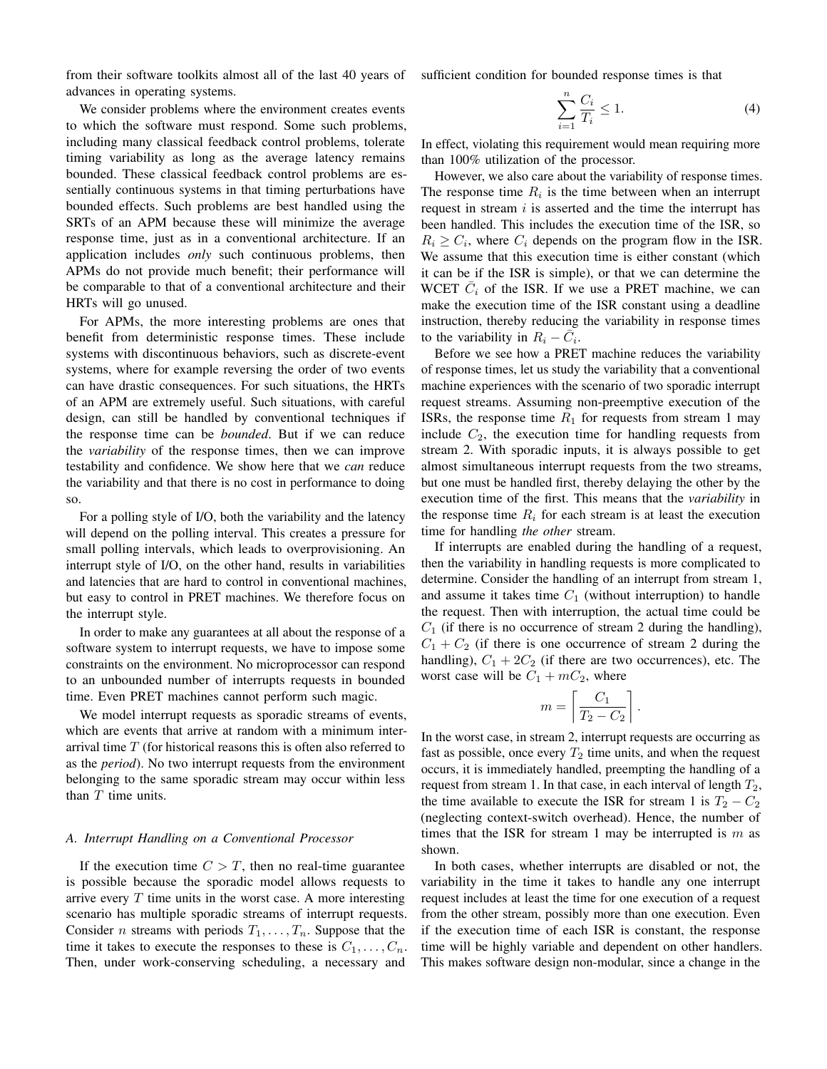from their software toolkits almost all of the last 40 years of advances in operating systems.

We consider problems where the environment creates events to which the software must respond. Some such problems, including many classical feedback control problems, tolerate timing variability as long as the average latency remains bounded. These classical feedback control problems are essentially continuous systems in that timing perturbations have bounded effects. Such problems are best handled using the SRTs of an APM because these will minimize the average response time, just as in a conventional architecture. If an application includes *only* such continuous problems, then APMs do not provide much benefit; their performance will be comparable to that of a conventional architecture and their HRTs will go unused.

For APMs, the more interesting problems are ones that benefit from deterministic response times. These include systems with discontinuous behaviors, such as discrete-event systems, where for example reversing the order of two events can have drastic consequences. For such situations, the HRTs of an APM are extremely useful. Such situations, with careful design, can still be handled by conventional techniques if the response time can be *bounded*. But if we can reduce the *variability* of the response times, then we can improve testability and confidence. We show here that we *can* reduce the variability and that there is no cost in performance to doing so.

For a polling style of I/O, both the variability and the latency will depend on the polling interval. This creates a pressure for small polling intervals, which leads to overprovisioning. An interrupt style of I/O, on the other hand, results in variabilities and latencies that are hard to control in conventional machines, but easy to control in PRET machines. We therefore focus on the interrupt style.

In order to make any guarantees at all about the response of a software system to interrupt requests, we have to impose some constraints on the environment. No microprocessor can respond to an unbounded number of interrupts requests in bounded time. Even PRET machines cannot perform such magic.

We model interrupt requests as sporadic streams of events, which are events that arrive at random with a minimum interarrival time  $T$  (for historical reasons this is often also referred to as the *period*). No two interrupt requests from the environment belonging to the same sporadic stream may occur within less than  $T$  time units.

#### *A. Interrupt Handling on a Conventional Processor*

If the execution time  $C > T$ , then no real-time guarantee is possible because the sporadic model allows requests to arrive every  $T$  time units in the worst case. A more interesting scenario has multiple sporadic streams of interrupt requests. Consider *n* streams with periods  $T_1, \ldots, T_n$ . Suppose that the time it takes to execute the responses to these is  $C_1, \ldots, C_n$ . Then, under work-conserving scheduling, a necessary and

sufficient condition for bounded response times is that

$$
\sum_{i=1}^{n} \frac{C_i}{T_i} \le 1.
$$
\n(4)

In effect, violating this requirement would mean requiring more than 100% utilization of the processor.

However, we also care about the variability of response times. The response time  $R_i$  is the time between when an interrupt request in stream  $i$  is asserted and the time the interrupt has been handled. This includes the execution time of the ISR, so  $R_i \geq C_i$ , where  $C_i$  depends on the program flow in the ISR. We assume that this execution time is either constant (which it can be if the ISR is simple), or that we can determine the WCET  $\overline{C}_i$  of the ISR. If we use a PRET machine, we can make the execution time of the ISR constant using a deadline instruction, thereby reducing the variability in response times to the variability in  $R_i - \overline{C}_i$ .

Before we see how a PRET machine reduces the variability of response times, let us study the variability that a conventional machine experiences with the scenario of two sporadic interrupt request streams. Assuming non-preemptive execution of the ISRs, the response time  $R_1$  for requests from stream 1 may include  $C_2$ , the execution time for handling requests from stream 2. With sporadic inputs, it is always possible to get almost simultaneous interrupt requests from the two streams, but one must be handled first, thereby delaying the other by the execution time of the first. This means that the *variability* in the response time  $R_i$  for each stream is at least the execution time for handling *the other* stream.

If interrupts are enabled during the handling of a request, then the variability in handling requests is more complicated to determine. Consider the handling of an interrupt from stream 1, and assume it takes time  $C_1$  (without interruption) to handle the request. Then with interruption, the actual time could be  $C_1$  (if there is no occurrence of stream 2 during the handling),  $C_1 + C_2$  (if there is one occurrence of stream 2 during the handling),  $C_1 + 2C_2$  (if there are two occurrences), etc. The worst case will be  $C_1 + mC_2$ , where

$$
m = \left\lceil \frac{C_1}{T_2 - C_2} \right\rceil
$$

.

In the worst case, in stream 2, interrupt requests are occurring as fast as possible, once every  $T_2$  time units, and when the request occurs, it is immediately handled, preempting the handling of a request from stream 1. In that case, in each interval of length  $T_2$ , the time available to execute the ISR for stream 1 is  $T_2 - C_2$ (neglecting context-switch overhead). Hence, the number of times that the ISR for stream 1 may be interrupted is  $m$  as shown.

In both cases, whether interrupts are disabled or not, the variability in the time it takes to handle any one interrupt request includes at least the time for one execution of a request from the other stream, possibly more than one execution. Even if the execution time of each ISR is constant, the response time will be highly variable and dependent on other handlers. This makes software design non-modular, since a change in the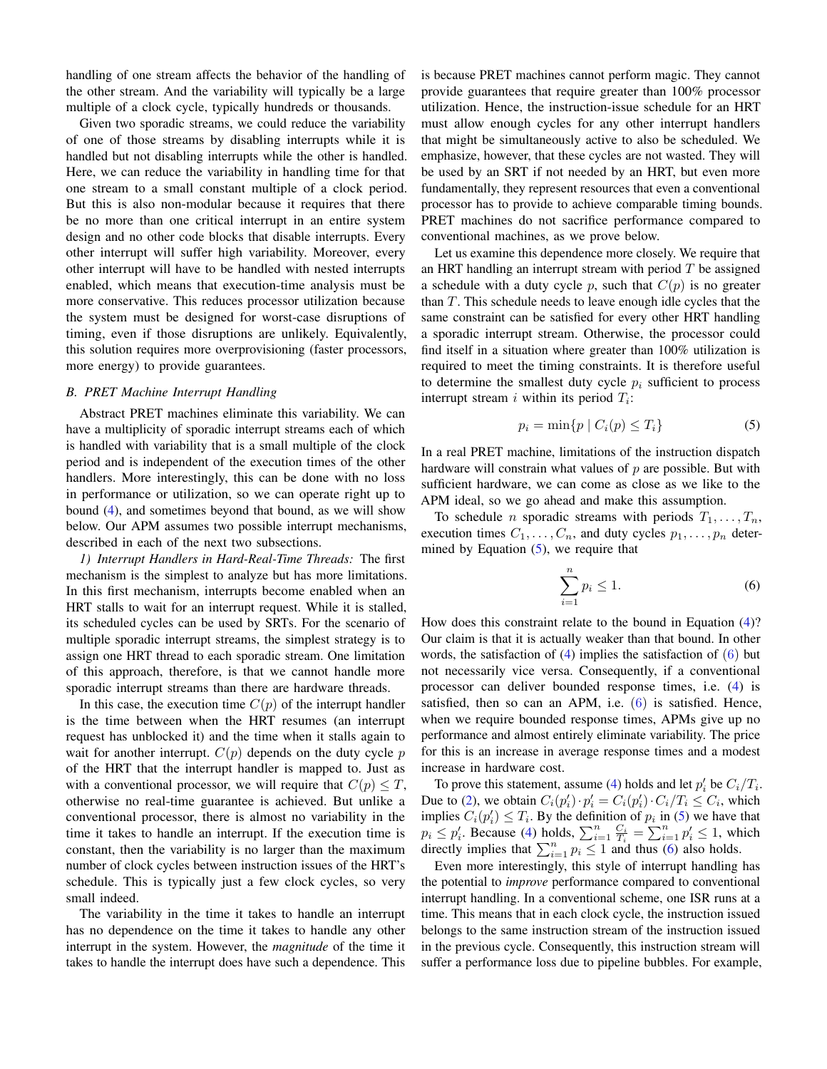handling of one stream affects the behavior of the handling of the other stream. And the variability will typically be a large multiple of a clock cycle, typically hundreds or thousands.

Given two sporadic streams, we could reduce the variability of one of those streams by disabling interrupts while it is handled but not disabling interrupts while the other is handled. Here, we can reduce the variability in handling time for that one stream to a small constant multiple of a clock period. But this is also non-modular because it requires that there be no more than one critical interrupt in an entire system design and no other code blocks that disable interrupts. Every other interrupt will suffer high variability. Moreover, every other interrupt will have to be handled with nested interrupts enabled, which means that execution-time analysis must be more conservative. This reduces processor utilization because the system must be designed for worst-case disruptions of timing, even if those disruptions are unlikely. Equivalently, this solution requires more overprovisioning (faster processors, more energy) to provide guarantees.

#### *B. PRET Machine Interrupt Handling*

Abstract PRET machines eliminate this variability. We can have a multiplicity of sporadic interrupt streams each of which is handled with variability that is a small multiple of the clock period and is independent of the execution times of the other handlers. More interestingly, this can be done with no loss in performance or utilization, so we can operate right up to bound (4), and sometimes beyond that bound, as we will show below. Our APM assumes two possible interrupt mechanisms, described in each of the next two subsections.

*1) Interrupt Handlers in Hard-Real-Time Threads:* The first mechanism is the simplest to analyze but has more limitations. In this first mechanism, interrupts become enabled when an HRT stalls to wait for an interrupt request. While it is stalled, its scheduled cycles can be used by SRTs. For the scenario of multiple sporadic interrupt streams, the simplest strategy is to assign one HRT thread to each sporadic stream. One limitation of this approach, therefore, is that we cannot handle more sporadic interrupt streams than there are hardware threads.

In this case, the execution time  $C(p)$  of the interrupt handler is the time between when the HRT resumes (an interrupt request has unblocked it) and the time when it stalls again to wait for another interrupt.  $C(p)$  depends on the duty cycle p of the HRT that the interrupt handler is mapped to. Just as with a conventional processor, we will require that  $C(p) \leq T$ , otherwise no real-time guarantee is achieved. But unlike a conventional processor, there is almost no variability in the time it takes to handle an interrupt. If the execution time is constant, then the variability is no larger than the maximum number of clock cycles between instruction issues of the HRT's schedule. This is typically just a few clock cycles, so very small indeed.

The variability in the time it takes to handle an interrupt has no dependence on the time it takes to handle any other interrupt in the system. However, the *magnitude* of the time it takes to handle the interrupt does have such a dependence. This

is because PRET machines cannot perform magic. They cannot provide guarantees that require greater than 100% processor utilization. Hence, the instruction-issue schedule for an HRT must allow enough cycles for any other interrupt handlers that might be simultaneously active to also be scheduled. We emphasize, however, that these cycles are not wasted. They will be used by an SRT if not needed by an HRT, but even more fundamentally, they represent resources that even a conventional processor has to provide to achieve comparable timing bounds. PRET machines do not sacrifice performance compared to conventional machines, as we prove below.

Let us examine this dependence more closely. We require that an HRT handling an interrupt stream with period  $T$  be assigned a schedule with a duty cycle p, such that  $C(p)$  is no greater than T. This schedule needs to leave enough idle cycles that the same constraint can be satisfied for every other HRT handling a sporadic interrupt stream. Otherwise, the processor could find itself in a situation where greater than 100% utilization is required to meet the timing constraints. It is therefore useful to determine the smallest duty cycle  $p_i$  sufficient to process interrupt stream  $i$  within its period  $T_i$ :

$$
p_i = \min\{p \mid C_i(p) \le T_i\} \tag{5}
$$

In a real PRET machine, limitations of the instruction dispatch hardware will constrain what values of  $p$  are possible. But with sufficient hardware, we can come as close as we like to the APM ideal, so we go ahead and make this assumption.

To schedule *n* sporadic streams with periods  $T_1, \ldots, T_n$ , execution times  $C_1, \ldots, C_n$ , and duty cycles  $p_1, \ldots, p_n$  determined by Equation (5), we require that

$$
\sum_{i=1}^{n} p_i \le 1. \tag{6}
$$

How does this constraint relate to the bound in Equation (4)? Our claim is that it is actually weaker than that bound. In other words, the satisfaction of  $(4)$  implies the satisfaction of  $(6)$  but not necessarily vice versa. Consequently, if a conventional processor can deliver bounded response times, i.e. (4) is satisfied, then so can an APM, i.e. (6) is satisfied. Hence, when we require bounded response times, APMs give up no performance and almost entirely eliminate variability. The price for this is an increase in average response times and a modest increase in hardware cost.

To prove this statement, assume (4) holds and let  $p'_i$  be  $C_i/T_i$ . Due to (2), we obtain  $C_i(p'_i) \cdot p'_i = C_i(p'_i) \cdot C_i/T_i \leq C_i$ , which implies  $C_i(p'_i) \leq T_i$ . By the definition of  $p_i$  in (5) we have that  $p_i \leq p'_i$ . Because (4) holds,  $\sum_{i=1}^n \frac{C_i}{T_i} = \sum_{i=1}^n p'_i \leq 1$ , which directly implies that  $\sum_{i=1}^{n} p_i \leq 1$  and thus (6) also holds.

Even more interestingly, this style of interrupt handling has the potential to *improve* performance compared to conventional interrupt handling. In a conventional scheme, one ISR runs at a time. This means that in each clock cycle, the instruction issued belongs to the same instruction stream of the instruction issued in the previous cycle. Consequently, this instruction stream will suffer a performance loss due to pipeline bubbles. For example,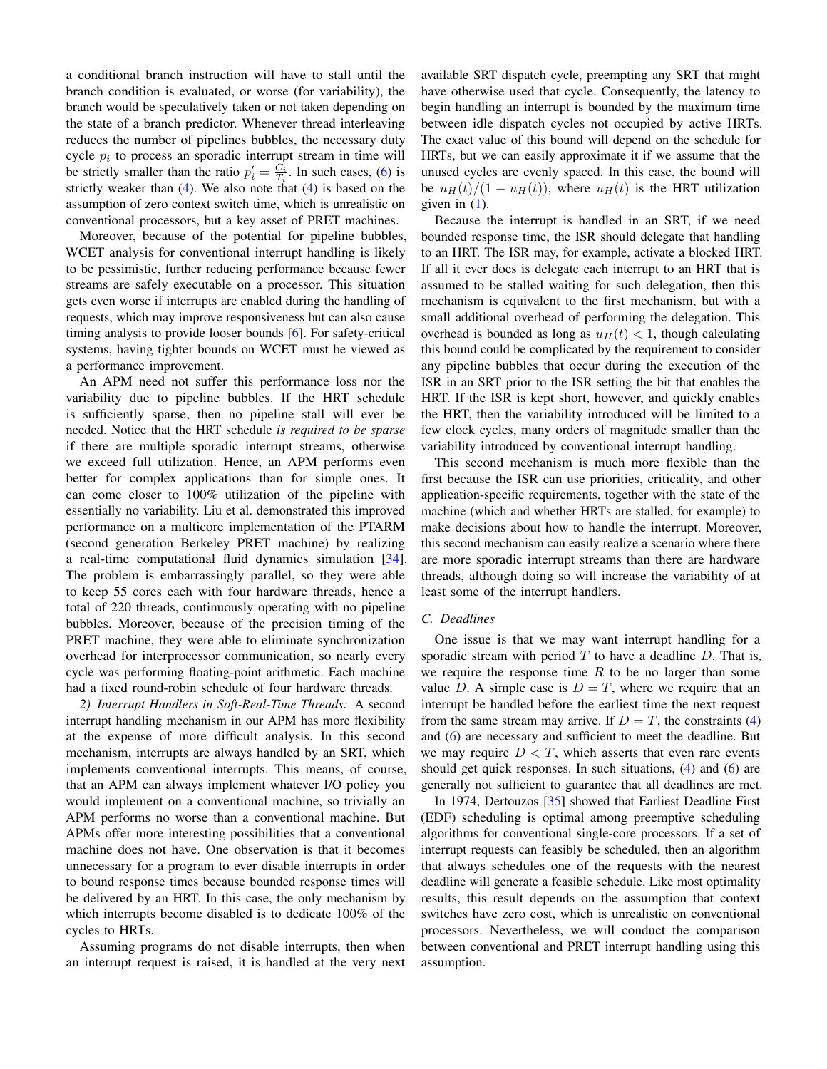a conditional branch instruction will have to stall until the branch condition is evaluated, or worse (for variability), the branch would be speculatively taken or not taken depending on the state of a branch predictor. Whenever thread interleaving reduces the number of pipelines bubbles, the necessary duty cycle  $p_i$  to process an sporadic interrupt stream in time will be strictly smaller than the ratio  $p'_i = \frac{C_i}{T_i}$ . In such cases, (6) is strictly weaker than (4). We also note that (4) is based on the assumption of zero context switch time, which is unrealistic on conventional processors, but a key asset of PRET machines.

Moreover, because of the potential for pipeline bubbles, WCET analysis for conventional interrupt handling is likely to be pessimistic, further reducing performance because fewer streams are safely executable on a processor. This situation gets even worse if interrupts are enabled during the handling of requests, which may improve responsiveness but can also cause timing analysis to provide looser bounds [6]. For safety-critical systems, having tighter bounds on WCET must be viewed as a performance improvement.

An APM need not suffer this performance loss nor the variability due to pipeline bubbles. If the HRT schedule is sufficiently sparse, then no pipeline stall will ever be needed. Notice that the HRT schedule *is required to be sparse* if there are multiple sporadic interrupt streams, otherwise we exceed full utilization. Hence, an APM performs even better for complex applications than for simple ones. It can come closer to 100% utilization of the pipeline with essentially no variability. Liu et al. demonstrated this improved performance on a multicore implementation of the PTARM (second generation Berkeley PRET machine) by realizing a real-time computational fluid dynamics simulation [34]. The problem is embarrassingly parallel, so they were able to keep 55 cores each with four hardware threads, hence a total of 220 threads, continuously operating with no pipeline bubbles. Moreover, because of the precision timing of the PRET machine, they were able to eliminate synchronization overhead for interprocessor communication, so nearly every cycle was performing floating-point arithmetic. Each machine had a fixed round-robin schedule of four hardware threads.

*2) Interrupt Handlers in Soft-Real-Time Threads:* A second interrupt handling mechanism in our APM has more flexibility at the expense of more difficult analysis. In this second mechanism, interrupts are always handled by an SRT, which implements conventional interrupts. This means, of course, that an APM can always implement whatever I/O policy you would implement on a conventional machine, so trivially an APM performs no worse than a conventional machine. But APMs offer more interesting possibilities that a conventional machine does not have. One observation is that it becomes unnecessary for a program to ever disable interrupts in order to bound response times because bounded response times will be delivered by an HRT. In this case, the only mechanism by which interrupts become disabled is to dedicate 100% of the cycles to HRTs.

Assuming programs do not disable interrupts, then when an interrupt request is raised, it is handled at the very next

available SRT dispatch cycle, preempting any SRT that might have otherwise used that cycle. Consequently, the latency to begin handling an interrupt is bounded by the maximum time between idle dispatch cycles not occupied by active HRTs. The exact value of this bound will depend on the schedule for HRTs, but we can easily approximate it if we assume that the unused cycles are evenly spaced. In this case, the bound will be  $u_H(t)/(1 - u_H(t))$ , where  $u_H(t)$  is the HRT utilization given in  $(1)$ .

Because the interrupt is handled in an SRT, if we need bounded response time, the ISR should delegate that handling to an HRT. The ISR may, for example, activate a blocked HRT. If all it ever does is delegate each interrupt to an HRT that is assumed to be stalled waiting for such delegation, then this mechanism is equivalent to the first mechanism, but with a small additional overhead of performing the delegation. This overhead is bounded as long as  $u_H(t) < 1$ , though calculating this bound could be complicated by the requirement to consider any pipeline bubbles that occur during the execution of the ISR in an SRT prior to the ISR setting the bit that enables the HRT. If the ISR is kept short, however, and quickly enables the HRT, then the variability introduced will be limited to a few clock cycles, many orders of magnitude smaller than the variability introduced by conventional interrupt handling.

This second mechanism is much more flexible than the first because the ISR can use priorities, criticality, and other application-specific requirements, together with the state of the machine (which and whether HRTs are stalled, for example) to make decisions about how to handle the interrupt. Moreover, this second mechanism can easily realize a scenario where there are more sporadic interrupt streams than there are hardware threads, although doing so will increase the variability of at least some of the interrupt handlers.

#### *C. Deadlines*

One issue is that we may want interrupt handling for a sporadic stream with period  $T$  to have a deadline  $D$ . That is, we require the response time  $R$  to be no larger than some value D. A simple case is  $D = T$ , where we require that an interrupt be handled before the earliest time the next request from the same stream may arrive. If  $D = T$ , the constraints (4) and (6) are necessary and sufficient to meet the deadline. But we may require  $D < T$ , which asserts that even rare events should get quick responses. In such situations, (4) and (6) are generally not sufficient to guarantee that all deadlines are met.

In 1974, Dertouzos [35] showed that Earliest Deadline First (EDF) scheduling is optimal among preemptive scheduling algorithms for conventional single-core processors. If a set of interrupt requests can feasibly be scheduled, then an algorithm that always schedules one of the requests with the nearest deadline will generate a feasible schedule. Like most optimality results, this result depends on the assumption that context switches have zero cost, which is unrealistic on conventional processors. Nevertheless, we will conduct the comparison between conventional and PRET interrupt handling using this assumption.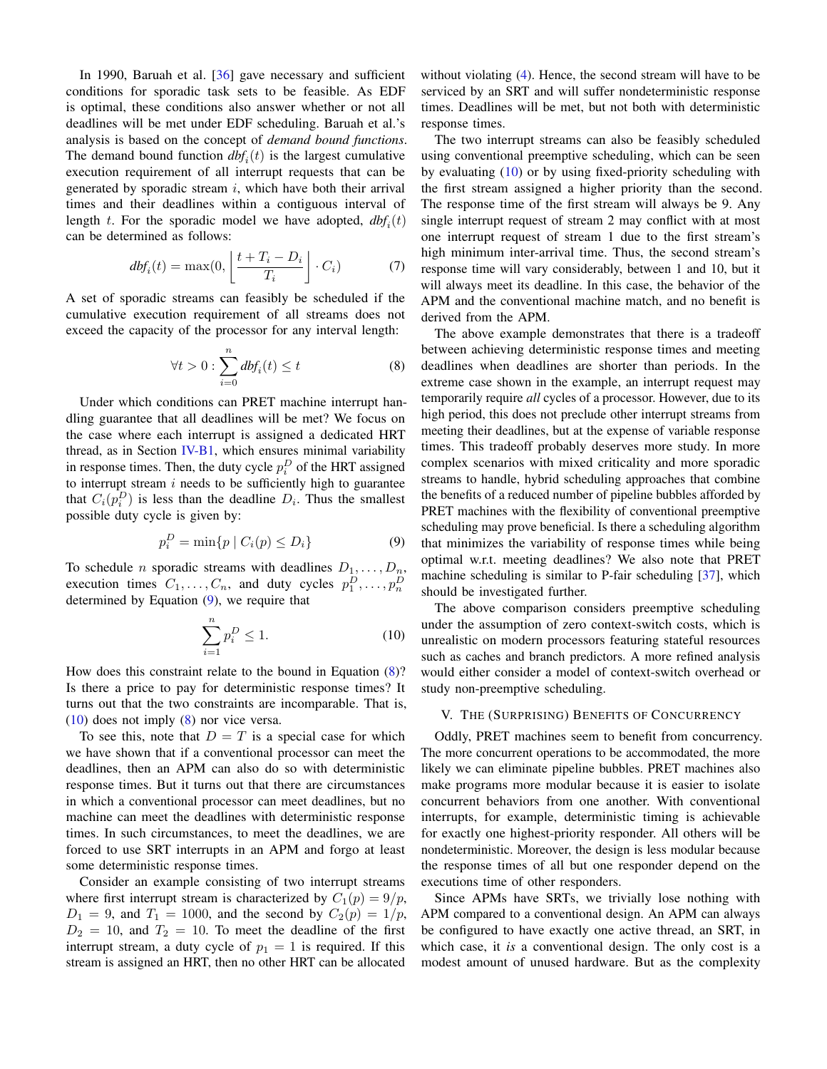In 1990, Baruah et al. [36] gave necessary and sufficient conditions for sporadic task sets to be feasible. As EDF is optimal, these conditions also answer whether or not all deadlines will be met under EDF scheduling. Baruah et al.'s analysis is based on the concept of *demand bound functions*. The demand bound function  $dbf_i(t)$  is the largest cumulative execution requirement of all interrupt requests that can be generated by sporadic stream  $i$ , which have both their arrival times and their deadlines within a contiguous interval of length  $t$ . For the sporadic model we have adopted,  $dbf_i(t)$ can be determined as follows:

$$
dbf_i(t) = \max(0, \left\lfloor \frac{t + T_i - D_i}{T_i} \right\rfloor \cdot C_i)
$$
 (7)

A set of sporadic streams can feasibly be scheduled if the cumulative execution requirement of all streams does not exceed the capacity of the processor for any interval length:

$$
\forall t > 0 : \sum_{i=0}^{n} db f_i(t) \le t \tag{8}
$$

Under which conditions can PRET machine interrupt handling guarantee that all deadlines will be met? We focus on the case where each interrupt is assigned a dedicated HRT thread, as in Section  $IV-B1$ , which ensures minimal variability in response times. Then, the duty cycle  $p_i^D$  of the HRT assigned to interrupt stream  $i$  needs to be sufficiently high to guarantee that  $C_i(p_i^D)$  is less than the deadline  $D_i$ . Thus the smallest possible duty cycle is given by:

$$
p_i^D = \min\{p \mid C_i(p) \le D_i\} \tag{9}
$$

To schedule *n* sporadic streams with deadlines  $D_1, \ldots, D_n$ , execution times  $C_1, \ldots, C_n$ , and duty cycles  $p_1^D, \ldots, p_n^D$ determined by Equation (9), we require that

$$
\sum_{i=1}^{n} p_i^D \le 1.
$$
 (10)

How does this constraint relate to the bound in Equation  $(8)$ ? Is there a price to pay for deterministic response times? It turns out that the two constraints are incomparable. That is, (10) does not imply (8) nor vice versa.

To see this, note that  $D = T$  is a special case for which we have shown that if a conventional processor can meet the deadlines, then an APM can also do so with deterministic response times. But it turns out that there are circumstances in which a conventional processor can meet deadlines, but no machine can meet the deadlines with deterministic response times. In such circumstances, to meet the deadlines, we are forced to use SRT interrupts in an APM and forgo at least some deterministic response times.

Consider an example consisting of two interrupt streams where first interrupt stream is characterized by  $C_1(p) = 9/p$ ,  $D_1 = 9$ , and  $T_1 = 1000$ , and the second by  $C_2(p) = 1/p$ ,  $D_2 = 10$ , and  $T_2 = 10$ . To meet the deadline of the first interrupt stream, a duty cycle of  $p_1 = 1$  is required. If this stream is assigned an HRT, then no other HRT can be allocated

without violating (4). Hence, the second stream will have to be serviced by an SRT and will suffer nondeterministic response times. Deadlines will be met, but not both with deterministic response times.

The two interrupt streams can also be feasibly scheduled using conventional preemptive scheduling, which can be seen by evaluating (10) or by using fixed-priority scheduling with the first stream assigned a higher priority than the second. The response time of the first stream will always be 9. Any single interrupt request of stream 2 may conflict with at most one interrupt request of stream 1 due to the first stream's high minimum inter-arrival time. Thus, the second stream's response time will vary considerably, between 1 and 10, but it will always meet its deadline. In this case, the behavior of the APM and the conventional machine match, and no benefit is derived from the APM.

The above example demonstrates that there is a tradeoff between achieving deterministic response times and meeting deadlines when deadlines are shorter than periods. In the extreme case shown in the example, an interrupt request may temporarily require *all* cycles of a processor. However, due to its high period, this does not preclude other interrupt streams from meeting their deadlines, but at the expense of variable response times. This tradeoff probably deserves more study. In more complex scenarios with mixed criticality and more sporadic streams to handle, hybrid scheduling approaches that combine the benefits of a reduced number of pipeline bubbles afforded by PRET machines with the flexibility of conventional preemptive scheduling may prove beneficial. Is there a scheduling algorithm that minimizes the variability of response times while being optimal w.r.t. meeting deadlines? We also note that PRET machine scheduling is similar to P-fair scheduling [37], which should be investigated further.

The above comparison considers preemptive scheduling under the assumption of zero context-switch costs, which is unrealistic on modern processors featuring stateful resources such as caches and branch predictors. A more refined analysis would either consider a model of context-switch overhead or study non-preemptive scheduling.

#### V. THE (SURPRISING) BENEFITS OF CONCURRENCY

Oddly, PRET machines seem to benefit from concurrency. The more concurrent operations to be accommodated, the more likely we can eliminate pipeline bubbles. PRET machines also make programs more modular because it is easier to isolate concurrent behaviors from one another. With conventional interrupts, for example, deterministic timing is achievable for exactly one highest-priority responder. All others will be nondeterministic. Moreover, the design is less modular because the response times of all but one responder depend on the executions time of other responders.

Since APMs have SRTs, we trivially lose nothing with APM compared to a conventional design. An APM can always be configured to have exactly one active thread, an SRT, in which case, it *is* a conventional design. The only cost is a modest amount of unused hardware. But as the complexity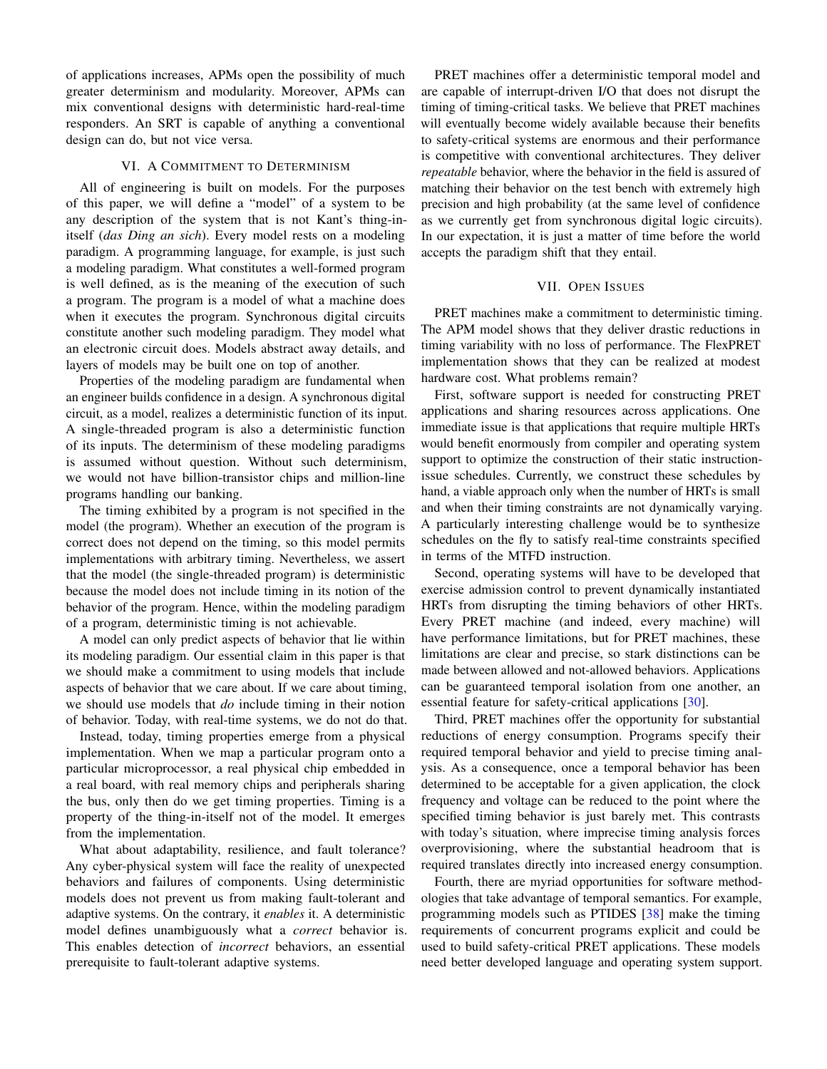of applications increases, APMs open the possibility of much greater determinism and modularity. Moreover, APMs can mix conventional designs with deterministic hard-real-time responders. An SRT is capable of anything a conventional design can do, but not vice versa.

### VI. A COMMITMENT TO DETERMINISM

All of engineering is built on models. For the purposes of this paper, we will define a "model" of a system to be any description of the system that is not Kant's thing-initself (*das Ding an sich*). Every model rests on a modeling paradigm. A programming language, for example, is just such a modeling paradigm. What constitutes a well-formed program is well defined, as is the meaning of the execution of such a program. The program is a model of what a machine does when it executes the program. Synchronous digital circuits constitute another such modeling paradigm. They model what an electronic circuit does. Models abstract away details, and layers of models may be built one on top of another.

Properties of the modeling paradigm are fundamental when an engineer builds confidence in a design. A synchronous digital circuit, as a model, realizes a deterministic function of its input. A single-threaded program is also a deterministic function of its inputs. The determinism of these modeling paradigms is assumed without question. Without such determinism, we would not have billion-transistor chips and million-line programs handling our banking.

The timing exhibited by a program is not specified in the model (the program). Whether an execution of the program is correct does not depend on the timing, so this model permits implementations with arbitrary timing. Nevertheless, we assert that the model (the single-threaded program) is deterministic because the model does not include timing in its notion of the behavior of the program. Hence, within the modeling paradigm of a program, deterministic timing is not achievable.

A model can only predict aspects of behavior that lie within its modeling paradigm. Our essential claim in this paper is that we should make a commitment to using models that include aspects of behavior that we care about. If we care about timing, we should use models that *do* include timing in their notion of behavior. Today, with real-time systems, we do not do that.

Instead, today, timing properties emerge from a physical implementation. When we map a particular program onto a particular microprocessor, a real physical chip embedded in a real board, with real memory chips and peripherals sharing the bus, only then do we get timing properties. Timing is a property of the thing-in-itself not of the model. It emerges from the implementation.

What about adaptability, resilience, and fault tolerance? Any cyber-physical system will face the reality of unexpected behaviors and failures of components. Using deterministic models does not prevent us from making fault-tolerant and adaptive systems. On the contrary, it *enables* it. A deterministic model defines unambiguously what a *correct* behavior is. This enables detection of *incorrect* behaviors, an essential prerequisite to fault-tolerant adaptive systems.

PRET machines offer a deterministic temporal model and are capable of interrupt-driven I/O that does not disrupt the timing of timing-critical tasks. We believe that PRET machines will eventually become widely available because their benefits to safety-critical systems are enormous and their performance is competitive with conventional architectures. They deliver *repeatable* behavior, where the behavior in the field is assured of matching their behavior on the test bench with extremely high precision and high probability (at the same level of confidence as we currently get from synchronous digital logic circuits). In our expectation, it is just a matter of time before the world accepts the paradigm shift that they entail.

#### VII. OPEN ISSUES

PRET machines make a commitment to deterministic timing. The APM model shows that they deliver drastic reductions in timing variability with no loss of performance. The FlexPRET implementation shows that they can be realized at modest hardware cost. What problems remain?

First, software support is needed for constructing PRET applications and sharing resources across applications. One immediate issue is that applications that require multiple HRTs would benefit enormously from compiler and operating system support to optimize the construction of their static instructionissue schedules. Currently, we construct these schedules by hand, a viable approach only when the number of HRTs is small and when their timing constraints are not dynamically varying. A particularly interesting challenge would be to synthesize schedules on the fly to satisfy real-time constraints specified in terms of the MTFD instruction.

Second, operating systems will have to be developed that exercise admission control to prevent dynamically instantiated HRTs from disrupting the timing behaviors of other HRTs. Every PRET machine (and indeed, every machine) will have performance limitations, but for PRET machines, these limitations are clear and precise, so stark distinctions can be made between allowed and not-allowed behaviors. Applications can be guaranteed temporal isolation from one another, an essential feature for safety-critical applications [30].

Third, PRET machines offer the opportunity for substantial reductions of energy consumption. Programs specify their required temporal behavior and yield to precise timing analysis. As a consequence, once a temporal behavior has been determined to be acceptable for a given application, the clock frequency and voltage can be reduced to the point where the specified timing behavior is just barely met. This contrasts with today's situation, where imprecise timing analysis forces overprovisioning, where the substantial headroom that is required translates directly into increased energy consumption.

Fourth, there are myriad opportunities for software methodologies that take advantage of temporal semantics. For example, programming models such as PTIDES [38] make the timing requirements of concurrent programs explicit and could be used to build safety-critical PRET applications. These models need better developed language and operating system support.